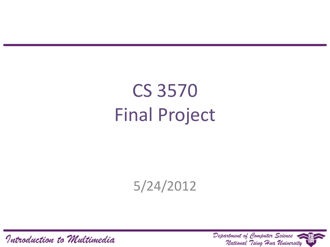CS 3570 Final Project

5/24/2012

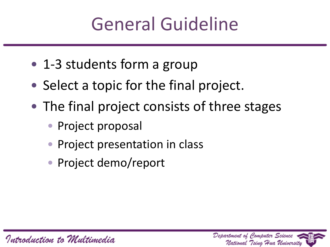#### General Guideline

- 1-3 students form a group
- Select a topic for the final project.
- The final project consists of three stages
	- Project proposal
	- Project presentation in class
	- Project demo/report

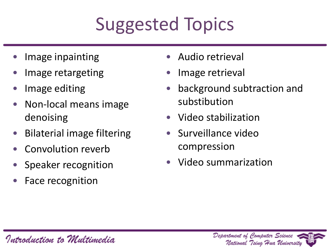# Suggested Topics

- Image inpainting
- Image retargeting
- Image editing
- Non-local means image denoising
- Bilaterial image filtering
- Convolution reverb
- Speaker recognition
- Face recognition
- Audio retrieval
- Image retrieval
- background subtraction and substibution
- Video stabilization
- Surveillance video compression
- Video summarization

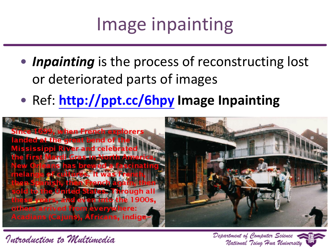# Image inpainting

- *Inpainting* is the process of reconstructing lost or deteriorated parts of images
- Ref: **<http://ppt.cc/6hpy> Image Inpainting**



Introduction to Multimedia

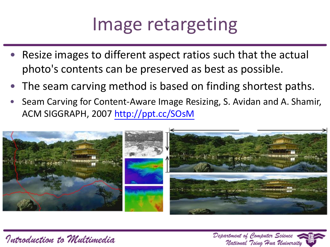#### Image retargeting

- Resize images to different aspect ratios such that the actual photo's contents can be preserved as best as possible.
- The seam carving method is based on finding shortest paths.
- Seam Carving for Content-Aware Image Resizing, S. Avidan and A. Shamir, ACM SIGGRAPH, 2007 <http://ppt.cc/SOsM>



Introduction to Multimedia

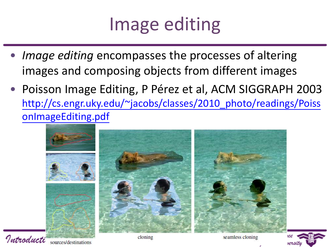#### Image editing

- Image editing encompasses the processes of altering images and composing objects from different images
- Poisson Image Editing, P Pérez et al, ACM SIGGRAPH 2003 [http://cs.engr.uky.edu/~jacobs/classes/2010\\_photo/readings/Poiss](http://cs.engr.uky.edu/~jacobs/classes/2010_photo/readings/PoissonImageEditing.pdf) [onImageEditing.pdf](http://cs.engr.uky.edu/~jacobs/classes/2010_photo/readings/PoissonImageEditing.pdf)



Introducti sources/destinations

seamless cloning

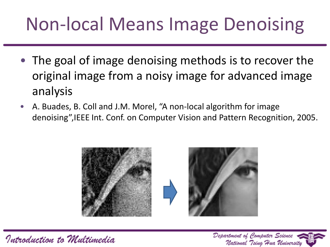# Non-local Means Image Denoising

- The goal of image denoising methods is to recover the original image from a noisy image for advanced image analysis
- A. Buades, B. Coll and J.M. Morel, "A non-local algorithm for image denoising",IEEE Int. Conf. on Computer Vision and Pattern Recognition, 2005.



Introduction to Multimedia

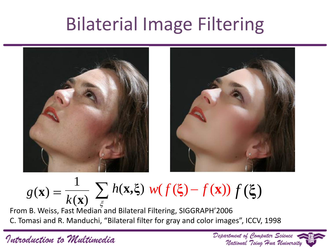#### Bilaterial Image Filtering



 $g(\mathbf{x}) = \frac{1}{k(\mathbf{x})} \sum h(\mathbf{x}, \xi) w(f(\xi) - f(\mathbf{x})) f(\xi)$  $(\mathbf{x}) \xrightarrow[\epsilon]{}$ 1 *k* **x**

From B. Weiss, Fast Median and Bilateral Filtering, SIGGRAPH'2006 C. Tomasi and R. Manduchi, "Bilateral filter for gray and color images", ICCV, 1998

Department of Computer Science

National Tsing Hua University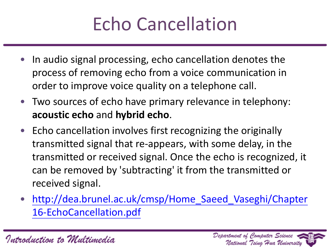# Echo Cancellation

- In audio signal processing, echo cancellation denotes the process of removing echo from a voice communication in order to improve voice quality on a telephone call.
- Two sources of echo have primary relevance in telephony: **acoustic echo** and **hybrid echo**.
- Echo cancellation involves first recognizing the originally transmitted signal that re-appears, with some delay, in the transmitted or received signal. Once the echo is recognized, it can be removed by 'subtracting' it from the transmitted or received signal.
- [http://dea.brunel.ac.uk/cmsp/Home\\_Saeed\\_Vaseghi/Chapter](http://dea.brunel.ac.uk/cmsp/Home_Saeed_Vaseghi/Chapter16-EchoCancellation.pdf) [16-EchoCancellation.pdf](http://dea.brunel.ac.uk/cmsp/Home_Saeed_Vaseghi/Chapter16-EchoCancellation.pdf)

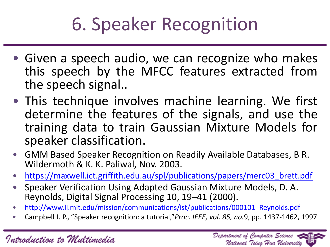# 6. Speaker Recognition

- Given a speech audio, we can recognize who makes this speech by the MFCC features extracted from the speech signal..
- This technique involves machine learning. We first determine the features of the signals, and use the training data to train Gaussian Mixture Models for speaker classification.
- GMM Based Speaker Recognition on Readily Available Databases, B R. Wildermoth & K. K. Paliwal, Nov. 2003.
- [https://maxwell.ict.griffith.edu.au/spl/publications/papers/merc03\\_brett.pdf](http://www.ll.mit.edu/mission/communications/ist/publications/000101_Reynolds.pdf)
- Speaker Verification Using Adapted Gaussian Mixture Models, D. A. Reynolds, Digital Signal Processing 10, 19–41 (2000).
- [http://www.ll.mit.edu/mission/communications/ist/publications/000101\\_Reynolds.pdf](http://www.ll.mit.edu/mission/communications/ist/publications/000101_Reynolds.pdf)
- Campbell J. P., "Speaker recognition: a tutorial,"*Proc. IEEE, vol. 85, no.*9, pp. 1437-1462, 1997.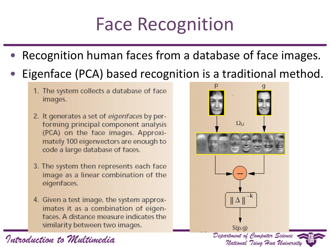# Face Recognition

- Recognition human faces from a database of face images.
- Eigenface (PCA) based recognition is a traditional method.
	- 1. The system collects a database of face images.
	- 2. It generates a set of eigenfaces by performing principal component analysis (PCA) on the face images. Approximately 100 eigenvectors are enough to code a large database of faces.
	- 3. The system then represents each face image as a linear combination of the eigenfaces.
	- 4. Given a test image, the system approximates it as a combination of eigenfaces. A distance measure indicates the similarity between two images.

 $\Omega_{\text{U}}$  $|| \Delta ||$  $S(p,q)$ Department of Computer Science National Tsing Hua University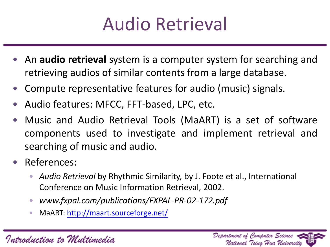

- An **audio retrieval** system is a computer system for searching and retrieving audios of similar contents from a large database.
- Compute representative features for audio (music) signals.
- Audio features: MFCC, FFT-based, LPC, etc.
- Music and Audio Retrieval Tools (MaART) is a set of software components used to investigate and implement retrieval and searching of music and audio.
- References:
	- *Audio Retrieval* by Rhythmic Similarity, by J. Foote et al., International Conference on Music Information Retrieval, 2002.
	- *www.fxpal.com/publications/FXPAL-PR-02-172.pdf*
	- MaART: <http://maart.sourceforge.net/>

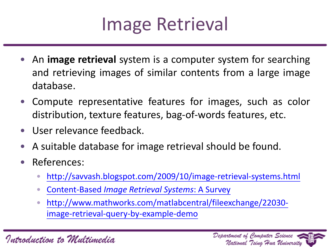

- An **image retrieval** system is a computer system for searching and retrieving images of similar contents from a large image database.
- Compute representative features for images, such as color distribution, texture features, bag-of-words features, etc.
- User relevance feedback.
- A suitable database for image retrieval should be found.
- References[:](http://www.cs.cmu.edu/afs/cs/Web/People/shingo/paper/CIVR05.pdf)
	- <http://savvash.blogspot.com/2009/10/image-retrieval-systems.html>
	- [Content-Based](http://www.google.com.tw/url?sa=t&source=web&cd=6&ved=0CFYQFjAF&url=http://citeseer.ist.psu.edu/viewdoc/download;jsessionid=B02AFF8EF1985A47B3ABE2DB2D251216?doi=10.1.1.104.8806&rep=rep1&type=pdf&ei=52bkTZHEAY20vgPUkYX3Bg&usg=AFQjCNH6H2uoqBQ0IZGvENTQkL9kno0J0A) *[Image](http://www.google.com.tw/url?sa=t&source=web&cd=6&ved=0CFYQFjAF&url=http://citeseer.ist.psu.edu/viewdoc/download;jsessionid=B02AFF8EF1985A47B3ABE2DB2D251216?doi=10.1.1.104.8806&rep=rep1&type=pdf&ei=52bkTZHEAY20vgPUkYX3Bg&usg=AFQjCNH6H2uoqBQ0IZGvENTQkL9kno0J0A) [Retrieval](http://www.google.com.tw/url?sa=t&source=web&cd=6&ved=0CFYQFjAF&url=http://citeseer.ist.psu.edu/viewdoc/download;jsessionid=B02AFF8EF1985A47B3ABE2DB2D251216?doi=10.1.1.104.8806&rep=rep1&type=pdf&ei=52bkTZHEAY20vgPUkYX3Bg&usg=AFQjCNH6H2uoqBQ0IZGvENTQkL9kno0J0A) [Systems](http://www.google.com.tw/url?sa=t&source=web&cd=6&ved=0CFYQFjAF&url=http://citeseer.ist.psu.edu/viewdoc/download;jsessionid=B02AFF8EF1985A47B3ABE2DB2D251216?doi=10.1.1.104.8806&rep=rep1&type=pdf&ei=52bkTZHEAY20vgPUkYX3Bg&usg=AFQjCNH6H2uoqBQ0IZGvENTQkL9kno0J0A)*[:](http://www.google.com.tw/url?sa=t&source=web&cd=6&ved=0CFYQFjAF&url=http://citeseer.ist.psu.edu/viewdoc/download;jsessionid=B02AFF8EF1985A47B3ABE2DB2D251216?doi=10.1.1.104.8806&rep=rep1&type=pdf&ei=52bkTZHEAY20vgPUkYX3Bg&usg=AFQjCNH6H2uoqBQ0IZGvENTQkL9kno0J0A) [A](http://www.google.com.tw/url?sa=t&source=web&cd=6&ved=0CFYQFjAF&url=http://citeseer.ist.psu.edu/viewdoc/download;jsessionid=B02AFF8EF1985A47B3ABE2DB2D251216?doi=10.1.1.104.8806&rep=rep1&type=pdf&ei=52bkTZHEAY20vgPUkYX3Bg&usg=AFQjCNH6H2uoqBQ0IZGvENTQkL9kno0J0A) [Survey](http://www.google.com.tw/url?sa=t&source=web&cd=6&ved=0CFYQFjAF&url=http://citeseer.ist.psu.edu/viewdoc/download;jsessionid=B02AFF8EF1985A47B3ABE2DB2D251216?doi=10.1.1.104.8806&rep=rep1&type=pdf&ei=52bkTZHEAY20vgPUkYX3Bg&usg=AFQjCNH6H2uoqBQ0IZGvENTQkL9kno0J0A)
	- [http://www.mathworks.com/matlabcentral/fileexchange/22030](http://www.mathworks.com/matlabcentral/fileexchange/22030-image-retrieval-query-by-example-demo) [image-retrieval-query-by-example-demo](http://www.mathworks.com/matlabcentral/fileexchange/22030-image-retrieval-query-by-example-demo)

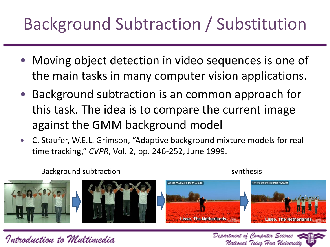#### Background Subtraction / Substitution

- Moving object detection in video sequences is one of the main tasks in many computer vision applications.
- Background subtraction is an common approach for this task. The idea is to compare the current image against the GMM background model
- C. Staufer, W.E.L. Grimson, "Adaptive background mixture models for realtime tracking," *CVPR*, Vol. 2, pp. 246-252, June 1999.

Background subtraction synthesis





Department of Computer Science

National "Tsing "Hua University

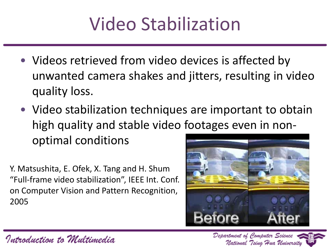# Video Stabilization

- Videos retrieved from video devices is affected by unwanted camera shakes and jitters, resulting in video quality loss.
- Video stabilization techniques are important to obtain high quality and stable video footages even in nonoptimal conditions

Y. Matsushita, E. Ofek, X. Tang and H. Shum "Full-frame video stabilization", IEEE Int. Conf. on Computer Vision and Pattern Recognition, 2005



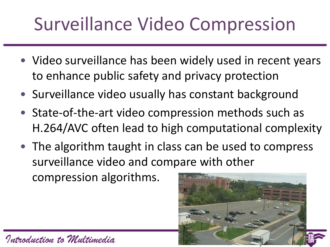# Surveillance Video Compression

- Video surveillance has been widely used in recent years to enhance public safety and privacy protection
- Surveillance video usually has constant background
- State-of-the-art video compression methods such as H.264/AVC often lead to high computational complexity
- The algorithm taught in class can be used to compress surveillance video and compare with other compression algorithms.

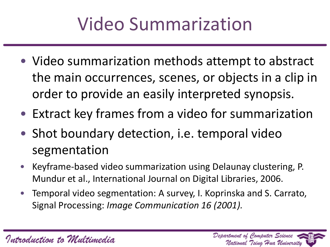# Video Summarization

- Video summarization methods attempt to abstract the main occurrences, scenes, or objects in a clip in order to provide an easily interpreted synopsis.
- Extract key frames from a video for summarization
- Shot boundary detection, i.e. temporal video segmentation
- Keyframe-based video summarization using Delaunay clustering, P. Mundur et al., International Journal on Digital Libraries, 2006.
- Temporal video segmentation: A survey, I. Koprinska and S. Carrato, Signal Processing: *Image Communication 16 (2001).*